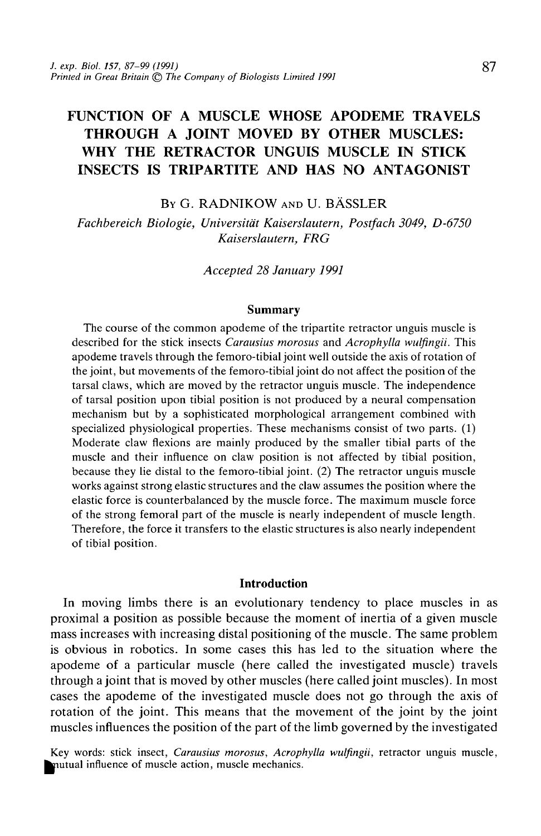# FUNCTION OF A MUSCLE WHOSE APODEME TRAVELS THROUGH A JOINT MOVED BY OTHER MUSCLES: WHY THE RETRACTOR UNGUIS MUSCLE IN STICK INSECTS IS TRIPARTITE AND HAS NO ANTAGONIST

BY G. RADNIKOW AND U. BÄSSLER

*Fachbereich Biologie, Universitat Kaiserslautern, Postfach 3049, D-6750 Kaiserslautern, FRG*

*Accepted 28 January 1991*

#### Summary

The course of the common apodeme of the tripartite retractor unguis muscle is described for the stick insects *Carausius morosus* and *Acrophylla wulfingii.* This apodeme travels through the femoro-tibial joint well outside the axis of rotation of the joint, but movements of the femoro-tibial joint do not affect the position of the tarsal claws, which are moved by the retractor unguis muscle. The independence of tarsal position upon tibial position is not produced by a neural compensation mechanism but by a sophisticated morphological arrangement combined with specialized physiological properties. These mechanisms consist of two parts. (1) Moderate claw flexions are mainly produced by the smaller tibial parts of the muscle and their influence on claw position is not affected by tibial position, because they lie distal to the femoro-tibial joint. (2) The retractor unguis muscle works against strong elastic structures and the claw assumes the position where the elastic force is counterbalanced by the muscle force. The maximum muscle force of the strong femoral part of the muscle is nearly independent of muscle length. Therefore, the force it transfers to the elastic structures is also nearly independent of tibial position.

# Introduction

In moving limbs there is an evolutionary tendency to place muscles in as proximal a position as possible because the moment of inertia of a given muscle mass increases with increasing distal positioning of the muscle. The same problem is obvious in robotics. In some cases this has led to the situation where the apodeme of a particular muscle (here called the investigated muscle) travels through a joint that is moved by other muscles (here called joint muscles). In most cases the apodeme of the investigated muscle does not go through the axis of rotation of the joint. This means that the movement of the joint by the joint muscles influences the position of the part of the limb governed by the investigated

Key words: stick insect, *Carausius morosus*, *Acrophylla wulfingii*, retractor unguis muscle, mutual influence of muscle action, muscle mechanics.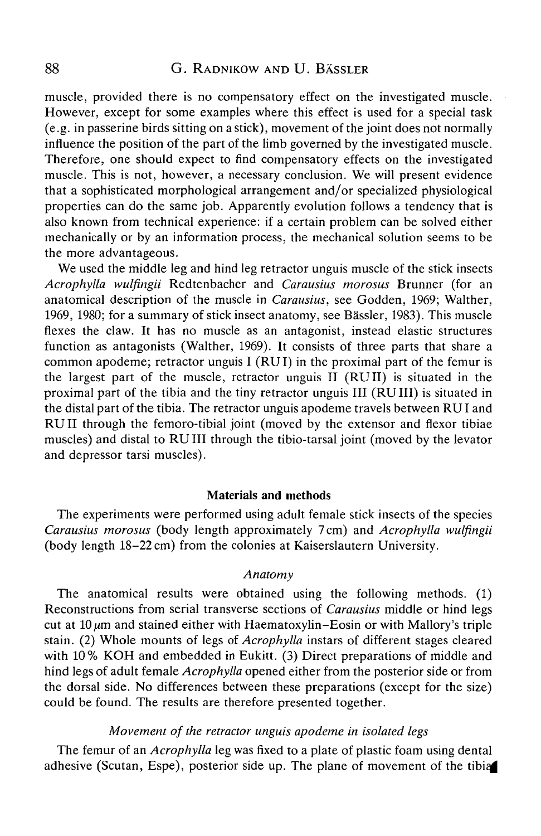muscle, provided there is no compensatory effect on the investigated muscle. However, except for some examples where this effect is used for a special task (e.g. in passerine birds sitting on a stick), movement of the joint does not normally influence the position of the part of the limb governed by the investigated muscle. Therefore, one should expect to find compensatory effects on the investigated muscle. This is not, however, a necessary conclusion. We will present evidence that a sophisticated morphological arrangement and/or specialized physiological properties can do the same job. Apparently evolution follows a tendency that is also known from technical experience: if a certain problem can be solved either mechanically or by an information process, the mechanical solution seems to be the more advantageous.

We used the middle leg and hind leg retractor unguis muscle of the stick insects *Acrophylla wulfingii* Redtenbacher and *Carausius morosus* Brunner (for an anatomical description of the muscle in *Carausius,* see Godden, 1969; Walther, 1969, 1980; for a summary of stick insect anatomy, see Bassler, 1983). This muscle flexes the claw. It has no muscle as an antagonist, instead elastic structures function as antagonists (Walther, 1969). It consists of three parts that share a common apodeme; retractor unguis I (RUI) in the proximal part of the femur is the largest part of the muscle, retractor unguis II (RUII) is situated in the proximal part of the tibia and the tiny retractor unguis III (RUIII) is situated in the distal part of the tibia. The retractor unguis apodeme travels between RU I and RU II through the femoro-tibial joint (moved by the extensor and flexor tibiae muscles) and distal to RU III through the tibio-tarsal joint (moved by the levator and depressor tarsi muscles).

# Materials and methods

The experiments were performed using adult female stick insects of the species *Carausius morosus* (body length approximately 7 cm) and *Acrophylla wulfingii* (body length 18-22 cm) from the colonies at Kaiserslautern University.

# *Anatomy*

The anatomical results were obtained using the following methods. (1) Reconstructions from serial transverse sections of *Carausius* middle or hind legs cut at  $10 \mu m$  and stained either with Haematoxylin-Eosin or with Mallory's triple stain. (2) Whole mounts of legs of *Acrophylla* instars of different stages cleared with 10% KOH and embedded in Eukitt. (3) Direct preparations of middle and hind legs of adult female *Acrophylla* opened either from the posterior side or from the dorsal side. No differences between these preparations (except for the size) could be found. The results are therefore presented together.

# *Movement of the retractor unguis apodeme in isolated legs*

The femur of an *Acrophylla* leg was fixed to a plate of plastic foam using dental adhesive (Scutan, Espe), posterior side up. The plane of movement of the tibiq|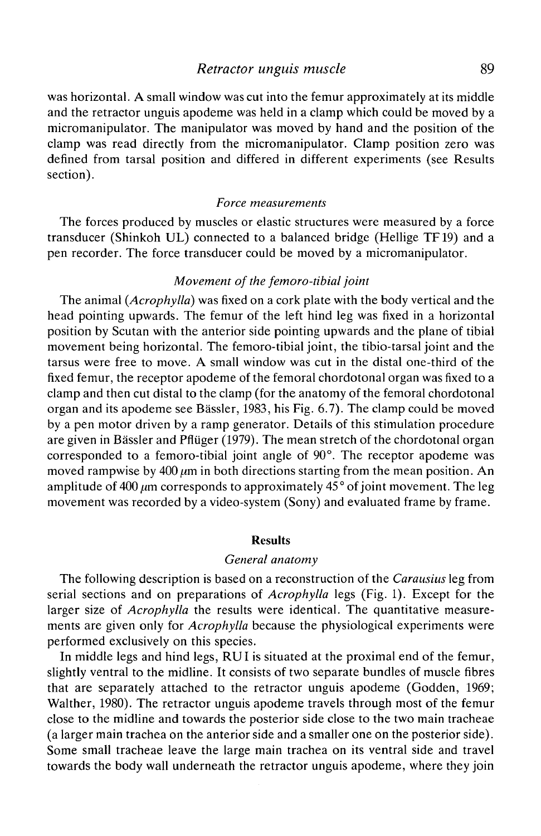# *Retractor unguis muscle* 89

was horizontal. A small window was cut into the femur approximately at its middle and the retractor unguis apodeme was held in a clamp which could be moved by a micromanipulator. The manipulator was moved by hand and the position of the clamp was read directly from the micromanipulator. Clamp position zero was defined from tarsal position and differed in different experiments (see Results section).

## *Force measurements*

The forces produced by muscles or elastic structures were measured by a force transducer (Shinkoh UL) connected to a balanced bridge (Hellige TF19) and a pen recorder. The force transducer could be moved by a micromanipulator.

## *Movement of the femoro-tibial joint*

The animal *{Acrophylla)* was fixed on a cork plate with the body vertical and the head pointing upwards. The femur of the left hind leg was fixed in a horizontal position by Scutan with the anterior side pointing upwards and the plane of tibial movement being horizontal. The femoro-tibial joint, the tibio-tarsal joint and the tarsus were free to move. A small window was cut in the distal one-third of the fixed femur, the receptor apodeme of the femoral chordotonal organ was fixed to a clamp and then cut distal to the clamp (for the anatomy of the femoral chordotonal organ and its apodeme see Bassler, 1983, his Fig. 6.7). The clamp could be moved by a pen motor driven by a ramp generator. Details of this stimulation procedure are given in Bässler and Pflüger (1979). The mean stretch of the chordotonal organ corresponded to a femoro-tibial joint angle of 90°. The receptor apodeme was moved rampwise by 400  $\mu$ m in both directions starting from the mean position. An amplitude of 400  $\mu$ m corresponds to approximately 45 $^{\circ}$  of joint movement. The leg movement was recorded by a video-system (Sony) and evaluated frame by frame.

# **Results**

## *General anatomy*

The following description is based on a reconstruction of the *Carausius* leg from serial sections and on preparations of *Acrophylla* legs (Fig. 1). Except for the larger size of *Acrophylla* the results were identical. The quantitative measurements are given only for *Acrophylla* because the physiological experiments were performed exclusively on this species.

In middle legs and hind legs, RUI is situated at the proximal end of the femur, slightly ventral to the midline. It consists of two separate bundles of muscle fibres that are separately attached to the retractor unguis apodeme (Godden, 1969; Walther, 1980). The retractor unguis apodeme travels through most of the femur close to the midline and towards the posterior side close to the two main tracheae (a larger main trachea on the anterior side and a smaller one on the posterior side). Some small tracheae leave the large main trachea on its ventral side and travel towards the body wall underneath the retractor unguis apodeme, where they join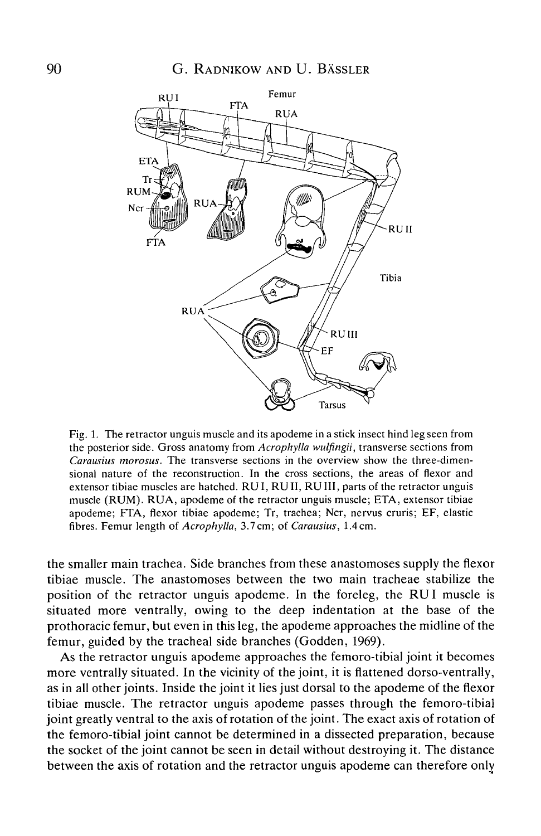

Fig. 1. The retractor unguis muscle and its apodeme in a stick insect hind leg seen from the posterior side. Gross anatomy from *Acrophylla wulfingii,* transverse sections from *Carausius morosus.* The transverse sections in the overview show the three-dimensional nature of the reconstruction. In the cross sections, the areas of flexor and extensor tibiae muscles are hatched. RUI, RUII, RU III, parts of the retractor unguis muscle (RUM). RUA, apodeme of the retractor unguis muscle; ETA, extensor tibiae apodeme; FTA, flexor tibiae apodeme; Tr, trachea; Ncr, nervus cruris; EF, elastic fibres. Femur length of *Acrophylla,* 3.7cm; of *Carausius,* 1.4cm.

the smaller main trachea. Side branches from these anastomoses supply the flexor tibiae muscle. The anastomoses between the two main tracheae stabilize the position of the retractor unguis apodeme. In the foreleg, the RUI muscle is situated more ventrally, owing to the deep indentation at the base of the prothoracic femur, but even in this leg, the apodeme approaches the midline of the femur, guided by the tracheal side branches (Godden, 1969).

As the retractor unguis apodeme approaches the femoro-tibial joint it becomes more ventrally situated. In the vicinity of the joint, it is flattened dorso-ventrally, as in all other joints. Inside the joint it lies just dorsal to the apodeme of the flexor tibiae muscle. The retractor unguis apodeme passes through the femoro-tibial joint greatly ventral to the axis of rotation of the joint. The exact axis of rotation of the femoro-tibial joint cannot be determined in a dissected preparation, because the socket of the joint cannot be seen in detail without destroying it. The distance between the axis of rotation and the retractor unguis apodeme can therefore only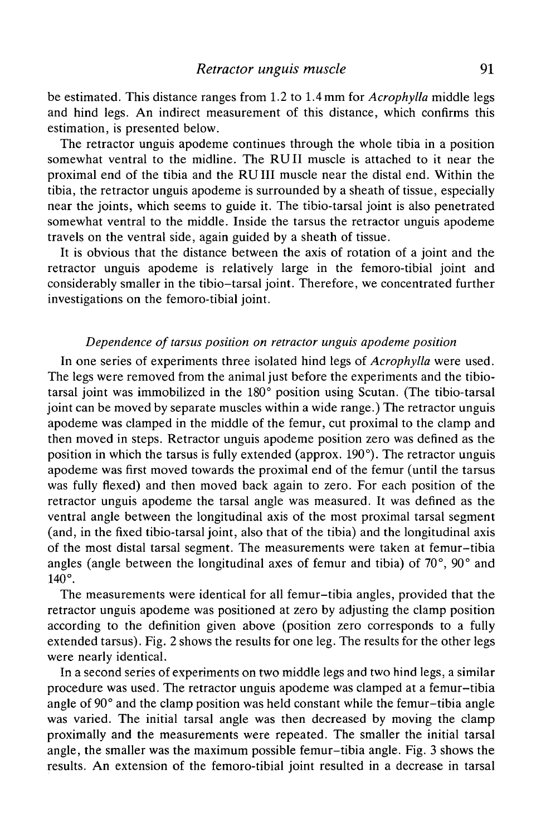be estimated. This distance ranges from 1.2 to 1.4 mm for *Acrophylla* middle legs and hind legs. An indirect measurement of this distance, which confirms this estimation, is presented below.

The retractor unguis apodeme continues through the whole tibia in a position somewhat ventral to the midline. The RUII muscle is attached to it near the proximal end of the tibia and the RUIII muscle near the distal end. Within the tibia, the retractor unguis apodeme is surrounded by a sheath of tissue, especially near the joints, which seems to guide it. The tibio-tarsal joint is also penetrated somewhat ventral to the middle. Inside the tarsus the retractor unguis apodeme travels on the ventral side, again guided by a sheath of tissue.

It is obvious that the distance between the axis of rotation of a joint and the retractor unguis apodeme is relatively large in the femoro-tibial joint and considerably smaller in the tibio-tarsal joint. Therefore, we concentrated further investigations on the femoro-tibial joint.

# *Dependence of tarsus position on retractor unguis apodeme position*

In one series of experiments three isolated hind legs of *Acrophylla* were used. The legs were removed from the animal just before the experiments and the tibiotarsal joint was immobilized in the 180° position using Scutan. (The tibio-tarsal joint can be moved by separate muscles within a wide range.) The retractor unguis apodeme was clamped in the middle of the femur, cut proximal to the clamp and then moved in steps. Retractor unguis apodeme position zero was defined as the position in which the tarsus is fully extended (approx. 190°). The retractor unguis apodeme was first moved towards the proximal end of the femur (until the tarsus was fully flexed) and then moved back again to zero. For each position of the retractor unguis apodeme the tarsal angle was measured. It was defined as the ventral angle between the longitudinal axis of the most proximal tarsal segment (and, in the fixed tibio-tarsal joint, also that of the tibia) and the longitudinal axis of the most distal tarsal segment. The measurements were taken at femur-tibia angles (angle between the longitudinal axes of femur and tibia) of 70°, 90° and 140°.

The measurements were identical for all femur-tibia angles, provided that the retractor unguis apodeme was positioned at zero by adjusting the clamp position according to the definition given above (position zero corresponds to a fully extended tarsus). Fig. 2 shows the results for one leg. The results for the other legs were nearly identical.

In a second series of experiments on two middle legs and two hind legs, a similar procedure was used. The retractor unguis apodeme was clamped at a femur-tibia angle of 90° and the clamp position was held constant while the femur-tibia angle was varied. The initial tarsal angle was then decreased by moving the clamp proximally and the measurements were repeated. The smaller the initial tarsal angle, the smaller was the maximum possible femur-tibia angle. Fig. 3 shows the results. An extension of the femoro-tibial joint resulted in a decrease in tarsal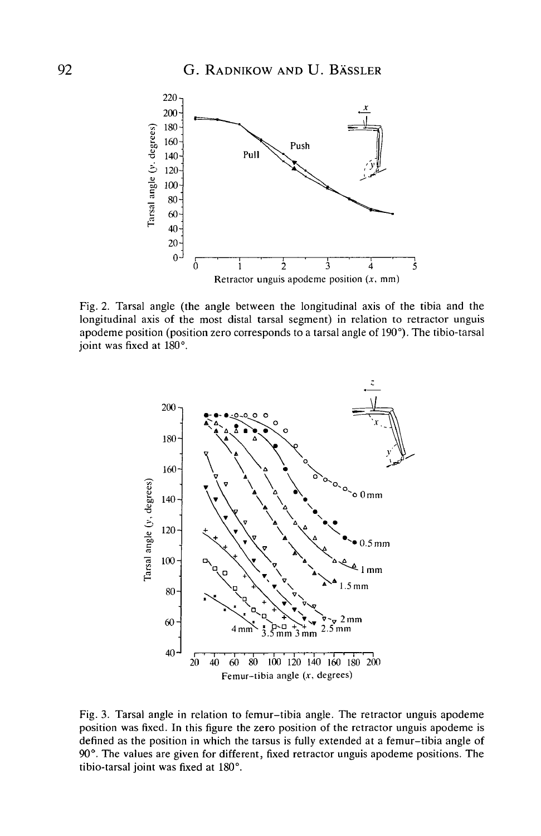

Fig. 2. Tarsal angle (the angle between the longitudinal axis of the tibia and the longitudinal axis of the most distal tarsal segment) in relation to retractor unguis apodeme position (position zero corresponds to a tarsal angle of 190°). The tibio-tarsal joint was fixed at 180°.



Fig. 3. Tarsal angle in relation to femur-tibia angle. The retractor unguis apodeme position was fixed. In this figure the zero position of the retractor unguis apodeme is defined as the position in which the tarsus is fully extended at a femur-tibia angle of 90°. The values are given for different, fixed retractor unguis apodeme positions. The tibio-tarsal joint was fixed at 180°.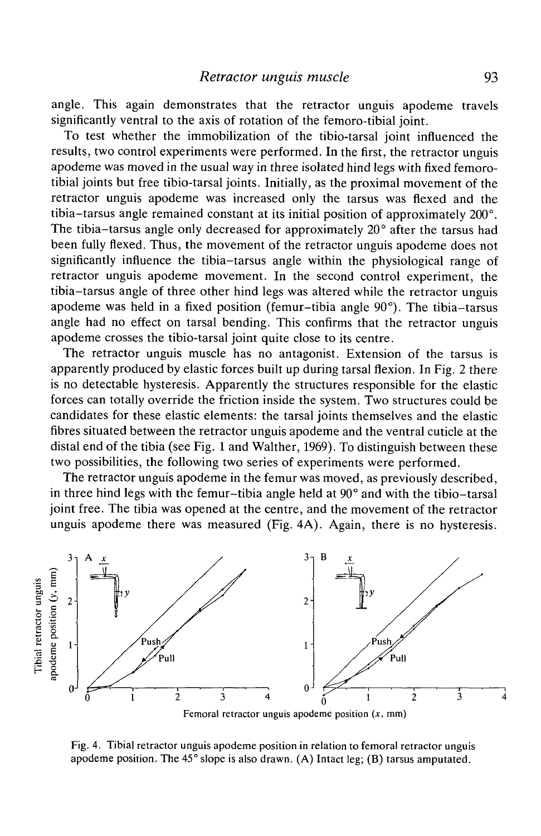angle. This again demonstrates that the retractor unguis apodeme travels significantly ventral to the axis of rotation of the femoro-tibial joint.

To test whether the immobilization of the tibio-tarsal joint influenced the results, two control experiments were performed. In the first, the retractor unguis apodeme was moved in the usual way in three isolated hind legs with fixed femorotibial joints but free tibio-tarsal joints. Initially, as the proximal movement of the retractor unguis apodeme was increased only the tarsus was flexed and the tibia-tarsus angle remained constant at its initial position of approximately 200°. The tibia-tarsus angle only decreased for approximately 20° after the tarsus had been fully flexed. Thus, the movement of the retractor unguis apodeme does not significantly influence the tibia-tarsus angle within the physiological range of retractor unguis apodeme movement. In the second control experiment, the tibia-tarsus angle of three other hind legs was altered while the retractor unguis apodeme was held in a fixed position (femur-tibia angle 90°). The tibia-tarsus angle had no effect on tarsal bending. This confirms that the retractor unguis apodeme crosses the tibio-tarsal joint quite close to its centre.

The retractor unguis muscle has no antagonist. Extension of the tarsus is apparently produced by elastic forces built up during tarsal flexion. In Fig. 2 there is no detectable hysteresis. Apparently the structures responsible for the elastic forces can totally override the friction inside the system. Two structures could be candidates for these elastic elements: the tarsal joints themselves and the elastic fibres situated between the retractor unguis apodeme and the ventral cuticle at the distal end of the tibia (see Fig. 1 and Walther, 1969). To distinguish between these two possibilities, the following two series of experiments were performed.

The retractor unguis apodeme in the femur was moved, as previously described, in three hind legs with the femur-tibia angle held at 90° and with the tibio-tarsal joint free. The tibia was opened at the centre, and the movement of the retractor unguis apodeme there was measured (Fig. 4A). Again, there is no hysteresis.



Fig. 4. Tibial retractor unguis apodeme position in relation to femoral retractor unguis apodeme position. The 45° slope is also drawn. (A) Intact leg; (B) tarsus amputated.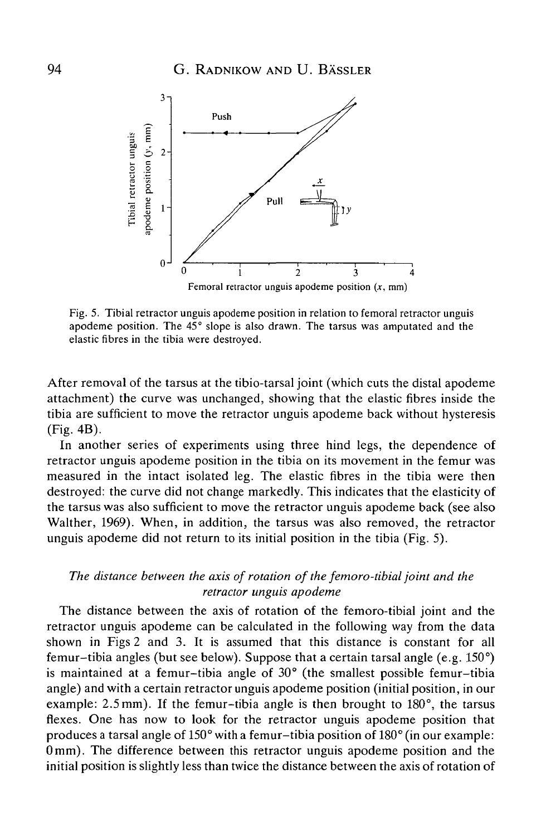

Fig. 5. Tibial retractor unguis apodeme position in relation to femoral retractor unguis apodeme position. The 45° slope is also drawn. The tarsus was amputated and the elastic fibres in the tibia were destroyed.

After removal of the tarsus at the tibio-tarsal joint (which cuts the distal apodeme attachment) the curve was unchanged, showing that the elastic fibres inside the tibia are sufficient to move the retractor unguis apodeme back without hysteresis (Fig. 4B).

In another series of experiments using three hind legs, the dependence of retractor unguis apodeme position in the tibia on its movement in the femur was measured in the intact isolated leg. The elastic fibres in the tibia were then destroyed: the curve did not change markedly. This indicates that the elasticity of the tarsus was also sufficient to move the retractor unguis apodeme back (see also Walther, 1969). When, in addition, the tarsus was also removed, the retractor unguis apodeme did not return to its initial position in the tibia (Fig. 5).

# *The distance between the axis of rotation of the femoro-tibial joint and the retractor unguis apodeme*

The distance between the axis of rotation of the femoro-tibial joint and the retractor unguis apodeme can be calculated in the following way from the data shown in Figs 2 and 3. It is assumed that this distance is constant for all femur-tibia angles (but see below). Suppose that a certain tarsal angle (e.g. 150°) is maintained at a femur-tibia angle of 30° (the smallest possible femur-tibia angle) and with a certain retractor unguis apodeme position (initial position, in our example: 2.5 mm). If the femur-tibia angle is then brought to 180°, the tarsus flexes. One has now to look for the retractor unguis apodeme position that produces a tarsal angle of 150° with a femur-tibia position of 180° (in our example: 0 mm). The difference between this retractor unguis apodeme position and the initial position is slightly less than twice the distance between the axis of rotation of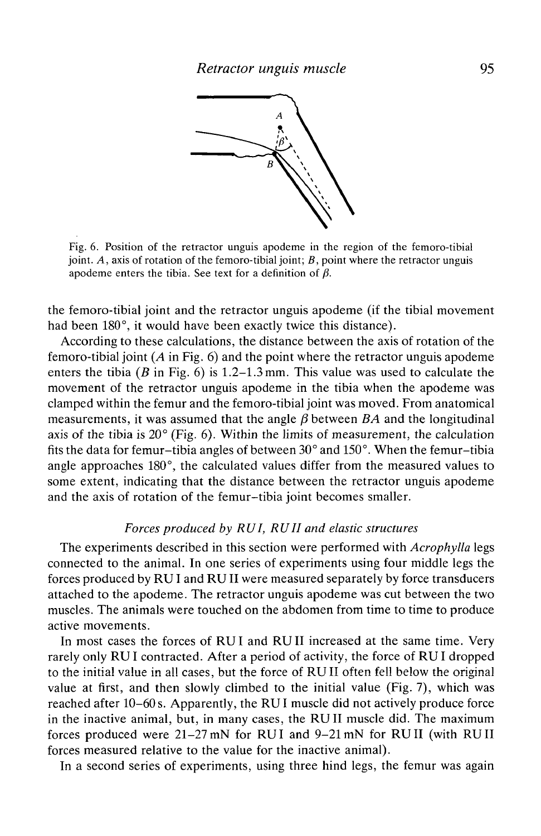

Fig. 6. Position of the retractor unguis apodeme in the region of the femoro-tibial joint. *A,* axis of rotation of the femoro-tibial joint; *B,* point where the retractor unguis apodeme enters the tibia. See text for a definition of  $\beta$ .

the femoro-tibial joint and the retractor unguis apodeme (if the tibial movement had been 180°, it would have been exactly twice this distance).

According to these calculations, the distance between the axis of rotation of the femoro-tibial joint *(A* in Fig. 6) and the point where the retractor unguis apodeme enters the tibia *(B* in Fig. 6) is 1.2-1.3 mm. This value was used to calculate the movement of the retractor unguis apodeme in the tibia when the apodeme was clamped within the femur and the femoro-tibial joint was moved. From anatomical measurements, it was assumed that the angle  $\beta$  between  $BA$  and the longitudinal axis of the tibia is 20° (Fig. 6). Within the limits of measurement, the calculation fits the data for femur-tibia angles of between 30° and 150°. When the femur-tibia angle approaches 180°, the calculated values differ from the measured values to some extent, indicating that the distance between the retractor unguis apodeme and the axis of rotation of the femur-tibia joint becomes smaller.

# *Forces produced by RUI, RUII and elastic structures*

The experiments described in this section were performed with *Acrophylla* legs connected to the animal. In one series of experiments using four middle legs the forces produced by RU I and RU II were measured separately by force transducers attached to the apodeme. The retractor unguis apodeme was cut between the two muscles. The animals were touched on the abdomen from time to time to produce active movements.

In most cases the forces of RUI and RUII increased at the same time. Very rarely only RU I contracted. After a period of activity, the force of RU I dropped to the initial value in all cases, but the force of RUII often fell below the original value at first, and then slowly climbed to the initial value (Fig. 7), which was reached after 10-60s. Apparently, the RUI muscle did not actively produce force in the inactive animal, but, in many cases, the RUII muscle did. The maximum forces produced were 21-27mN for RUI and 9-21 mN for RUII (with RUII forces measured relative to the value for the inactive animal).

In a second series of experiments, using three hind legs, the femur was again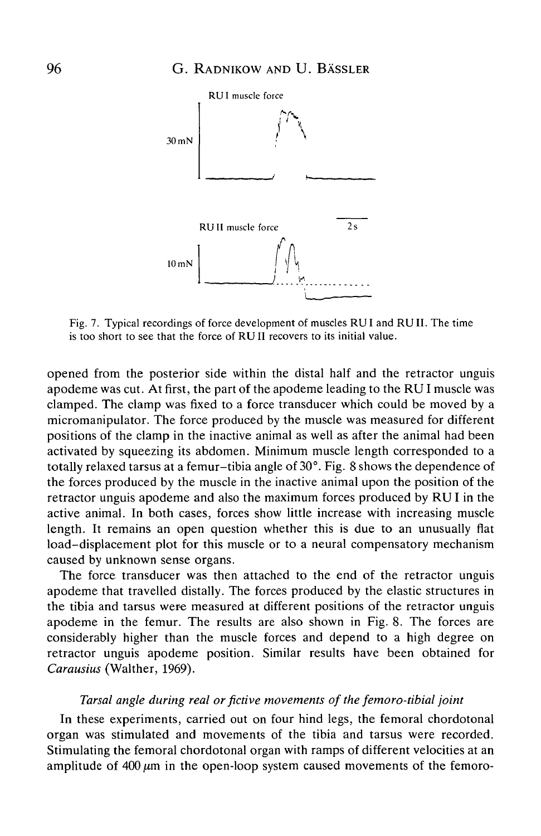

Fig. 7. Typical recordings of force development of muscles RU I and RU II. The time is too short to see that the force of RU II recovers to its initial value.

opened from the posterior side within the distal half and the retractor unguis apodeme was cut. At first, the part of the apodeme leading to the RU I muscle was clamped. The clamp was fixed to a force transducer which could be moved by a micromanipulator. The force produced by the muscle was measured for different positions of the clamp in the inactive animal as well as after the animal had been activated by squeezing its abdomen. Minimum muscle length corresponded to a totally relaxed tarsus at a femur-tibia angle of 30°. Fig. 8 shows the dependence of the forces produced by the muscle in the inactive animal upon the position of the retractor unguis apodeme and also the maximum forces produced by RU I in the active animal. In both cases, forces show little increase with increasing muscle length. It remains an open question whether this is due to an unusually flat load-displacement plot for this muscle or to a neural compensatory mechanism caused by unknown sense organs.

The force transducer was then attached to the end of the retractor unguis apodeme that travelled distally. The forces produced by the elastic structures in the tibia and tarsus were measured at different positions of the retractor unguis apodeme in the femur. The results are also shown in Fig. 8. The forces are considerably higher than the muscle forces and depend to a high degree on retractor unguis apodeme position. Similar results have been obtained for *Carausius* (Walther, 1969).

# *Tarsal angle during real or fictive movements of the femoro-tibial joint*

In these experiments, carried out on four hind legs, the femoral chordotonal organ was stimulated and movements of the tibia and tarsus were recorded. Stimulating the femoral chordotonal organ with ramps of different velocities at an amplitude of  $400 \mu m$  in the open-loop system caused movements of the femoro-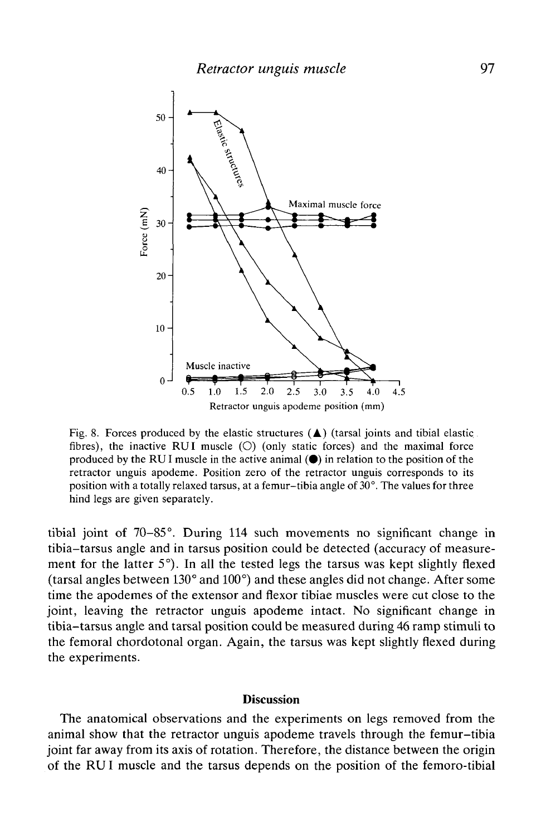

Fig. 8. Forces produced by the elastic structures  $(4)$  (tarsal joints and tibial elastic. fibres), the inactive RUI muscle  $(O)$  (only static forces) and the maximal force produced by the RUI muscle in the active animal  $(\bullet)$  in relation to the position of the retractor unguis apodeme. Position zero of the retractor unguis corresponds to its position with a totally relaxed tarsus, at a femur-tibia angle of 30°. The values for three hind legs are given separately.

tibial joint of 70-85°. During 114 such movements no significant change in tibia-tarsus angle and in tarsus position could be detected (accuracy of measurement for the latter 5°). In all the tested legs the tarsus was kept slightly flexed (tarsal angles between 130° and 100°) and these angles did not change. After some time the apodemes of the extensor and flexor tibiae muscles were cut close to the joint, leaving the retractor unguis apodeme intact. No significant change in tibia-tarsus angle and tarsal position could be measured during 46 ramp stimuli to the femoral chordotonal organ. Again, the tarsus was kept slightly flexed during the experiments.

# **Discussion**

The anatomical observations and the experiments on legs removed from the animal show that the retractor unguis apodeme travels through the femur-tibia joint far away from its axis of rotation. Therefore, the distance between the origin of the RU I muscle and the tarsus depends on the position of the femoro-tibial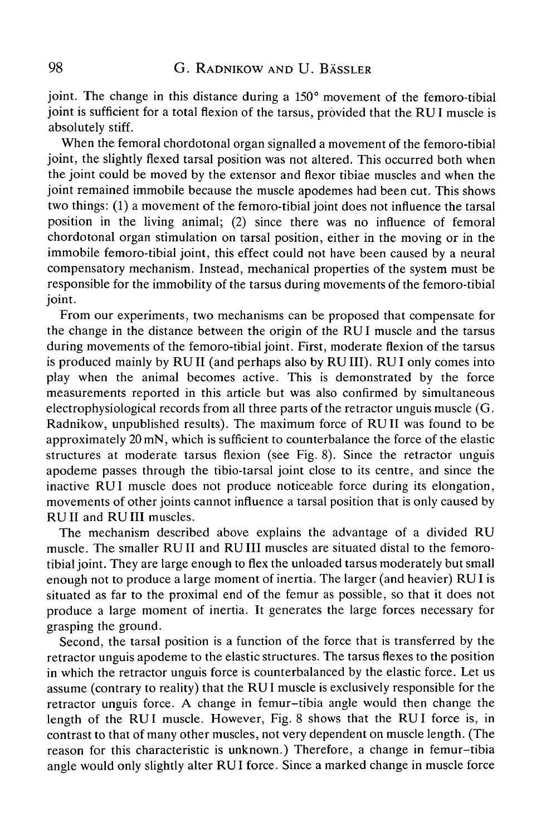joint. The change in this distance during a 150° movement of the femoro-tibial joint is sufficient for a total flexion of the tarsus, provided that the RUI muscle is absolutely stiff.

When the femoral chordotonal organ signalled a movement of the femoro-tibial joint, the slightly flexed tarsal position was not altered. This occurred both when the joint could be moved by the extensor and flexor tibiae muscles and when the joint remained immobile because the muscle apodemes had been cut. This shows two things: (1) a movement of the femoro-tibial joint does not influence the tarsal position in the living animal; (2) since there was no influence of femoral chordotonal organ stimulation on tarsal position, either in the moving or in the immobile femoro-tibial joint, this effect could not have been caused by a neural compensatory mechanism. Instead, mechanical properties of the system must be responsible for the immobility of the tarsus during movements of the femoro-tibial joint.

From our experiments, two mechanisms can be proposed that compensate for the change in the distance between the origin of the RUI muscle and the tarsus during movements of the femoro-tibial joint. First, moderate flexion of the tarsus is produced mainly by RUII (and perhaps also by RUIII). RUI only comes into play when the animal becomes active. This is demonstrated by the force measurements reported in this article but was also confirmed by simultaneous electrophysiological records from all three parts of the retractor unguis muscle (G. Radnikow, unpublished results). The maximum force of RUII was found to be approximately 20 mN, which is sufficient to counterbalance the force of the elastic structures at moderate tarsus flexion (see Fig. 8). Since the retractor unguis apodeme passes through the tibio-tarsal joint close to its centre, and since the inactive RUI muscle does not produce noticeable force during its elongation, movements of other joints cannot influence a tarsal position that is only caused by RUII and RUIII muscles.

The mechanism described above explains the advantage of a divided RU muscle. The smaller RUII and RUIII muscles are situated distal to the femorotibial joint. They are large enough to flex the unloaded tarsus moderately but small enough not to produce a large moment of inertia. The larger (and heavier) RUI is situated as far to the proximal end of the femur as possible, so that it does not produce a large moment of inertia. It generates the large forces necessary for grasping the ground.

Second, the tarsal position is a function of the force that is transferred by the retractor unguis apodeme to the elastic structures. The tarsus flexes to the position in which the retractor unguis force is counterbalanced by the elastic force. Let us assume (contrary to reality) that the RU I muscle is exclusively responsible for the retractor unguis force. A change in femur-tibia angle would then change the length of the RUI muscle. However, Fig. 8 shows that the RUI force is, in contrast to that of many other muscles, not very dependent on muscle length. (The reason for this characteristic is unknown.) Therefore, a change in femur-tibia angle would only slightly alter RUI force. Since a marked change in muscle force